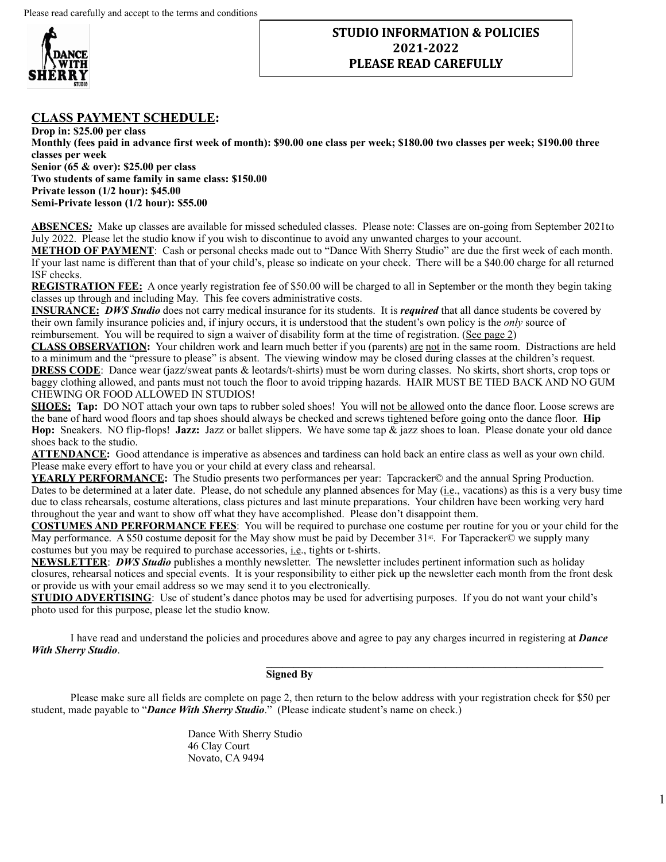

## **STUDIO INFORMATION & POLICIES 2021-2022 PLEASE READ CAREFULLY**

## **CLASS PAYMENT SCHEDULE:**

**Drop in: \$25.00 per class Monthly (fees paid in advance first week of month): \$90.00 one class per week; \$180.00 two classes per week; \$190.00 three classes per week Senior (65 & over): \$25.00 per class Two students of same family in same class: \$150.00 Private lesson (1/2 hour): \$45.00 Semi-Private lesson (1/2 hour): \$55.00** 

**ABSENCES***:*Make up classes are available for missed scheduled classes. Please note: Classes are on-going from September 2021to July 2022. Please let the studio know if you wish to discontinue to avoid any unwanted charges to your account.

**METHOD OF PAYMENT**: Cash or personal checks made out to "Dance With Sherry Studio" are due the first week of each month. If your last name is different than that of your child's, please so indicate on your check. There will be a \$40.00 charge for all returned ISF checks.

**REGISTRATION FEE:** A once yearly registration fee of \$50.00 will be charged to all in September or the month they begin taking classes up through and including May. This fee covers administrative costs.

**INSURANCE:** *DWS Studio* does not carry medical insurance for its students. It is *required* that all dance students be covered by their own family insurance policies and, if injury occurs, it is understood that the student's own policy is the *only* source of reimbursement. You will be required to sign a waiver of disability form at the time of registration. (See page 2)

**CLASS OBSERVATION:** Your children work and learn much better if you (parents) are not in the same room. Distractions are held to a minimum and the "pressure to please" is absent. The viewing window may be closed during classes at the children's request. **DRESS CODE**: Dance wear (jazz/sweat pants & leotards/t-shirts) must be worn during classes. No skirts, short shorts, crop tops or baggy clothing allowed, and pants must not touch the floor to avoid tripping hazards. HAIR MUST BE TIED BACK AND NO GUM CHEWING OR FOOD ALLOWED IN STUDIOS!

**SHOES:** Tap: DO NOT attach your own taps to rubber soled shoes! You will not be allowed onto the dance floor. Loose screws are the bane of hard wood floors and tap shoes should always be checked and screws tightened before going onto the dance floor. **Hip Hop:** Sneakers. NO flip-flops! **Jazz:** Jazz or ballet slippers. We have some tap & jazz shoes to loan. Please donate your old dance shoes back to the studio.

**ATTENDANCE:** Good attendance is imperative as absences and tardiness can hold back an entire class as well as your own child. Please make every effort to have you or your child at every class and rehearsal.

**YEARLY PERFORMANCE:** The Studio presents two performances per year: Tapcracker© and the annual Spring Production. Dates to be determined at a later date. Please, do not schedule any planned absences for May (i.e., vacations) as this is a very busy time due to class rehearsals, costume alterations, class pictures and last minute preparations. Your children have been working very hard throughout the year and want to show off what they have accomplished. Please don't disappoint them.

**COSTUMES AND PERFORMANCE FEES**: You will be required to purchase one costume per routine for you or your child for the May performance. A \$50 costume deposit for the May show must be paid by December 31<sup>st</sup>. For Tapcracker $\odot$  we supply many costumes but you may be required to purchase accessories, i.e., tights or t-shirts.

**NEWSLETTER**: *DWS Studio* publishes a monthly newsletter. The newsletter includes pertinent information such as holiday closures, rehearsal notices and special events. It is your responsibility to either pick up the newsletter each month from the front desk or provide us with your email address so we may send it to you electronically.

**STUDIO ADVERTISING**: Use of student's dance photos may be used for advertising purposes. If you do not want your child's photo used for this purpose, please let the studio know.

I have read and understand the policies and procedures above and agree to pay any charges incurred in registering at *Dance With Sherry Studio*.

## $\_$  , and the set of the set of the set of the set of the set of the set of the set of the set of the set of the set of the set of the set of the set of the set of the set of the set of the set of the set of the set of th **Signed By**

Please make sure all fields are complete on page 2, then return to the below address with your registration check for \$50 per student, made payable to "*Dance With Sherry Studio*." (Please indicate student's name on check.)

1

Dance With Sherry Studio 46 Clay Court Novato, CA 9494